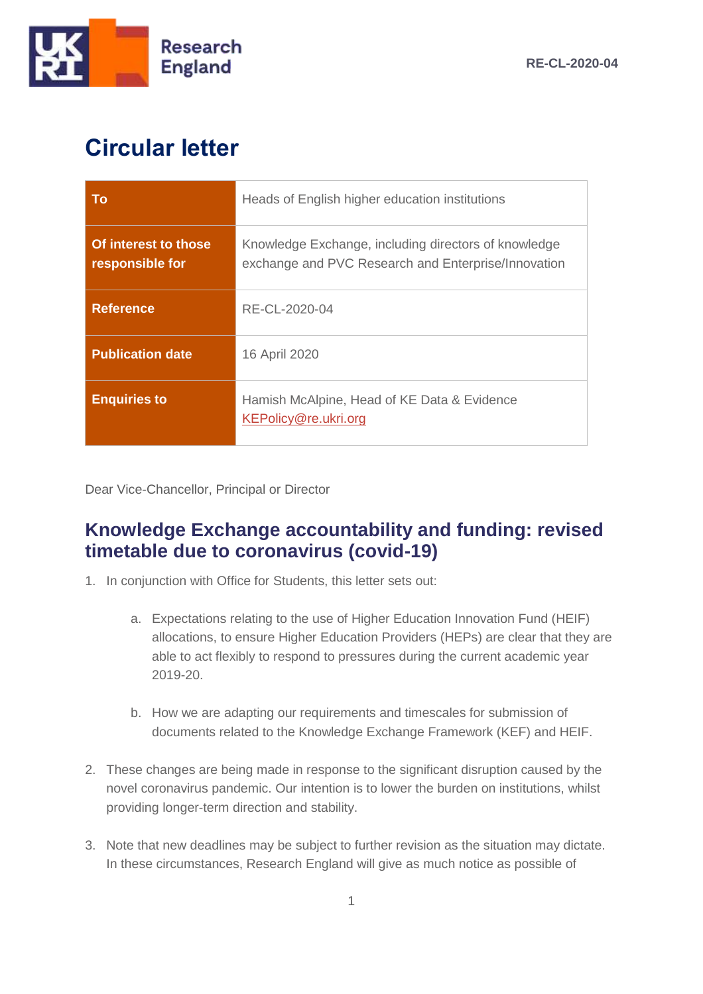

## **Circular letter**

| <b>To</b>                               | Heads of English higher education institutions                                                              |
|-----------------------------------------|-------------------------------------------------------------------------------------------------------------|
| Of interest to those<br>responsible for | Knowledge Exchange, including directors of knowledge<br>exchange and PVC Research and Enterprise/Innovation |
| <b>Reference</b>                        | RE-CL-2020-04                                                                                               |
| <b>Publication date</b>                 | 16 April 2020                                                                                               |
| <b>Enquiries to</b>                     | Hamish McAlpine, Head of KE Data & Evidence<br>KEPolicy@re.ukri.org                                         |

Dear Vice-Chancellor, Principal or Director

#### **Knowledge Exchange accountability and funding: revised timetable due to coronavirus (covid-19)**

- 1. In conjunction with Office for Students, this letter sets out:
	- a. Expectations relating to the use of Higher Education Innovation Fund (HEIF) allocations, to ensure Higher Education Providers (HEPs) are clear that they are able to act flexibly to respond to pressures during the current academic year 2019-20.
	- b. How we are adapting our requirements and timescales for submission of documents related to the Knowledge Exchange Framework (KEF) and HEIF.
- 2. These changes are being made in response to the significant disruption caused by the novel coronavirus pandemic. Our intention is to lower the burden on institutions, whilst providing longer-term direction and stability.
- 3. Note that new deadlines may be subject to further revision as the situation may dictate. In these circumstances, Research England will give as much notice as possible of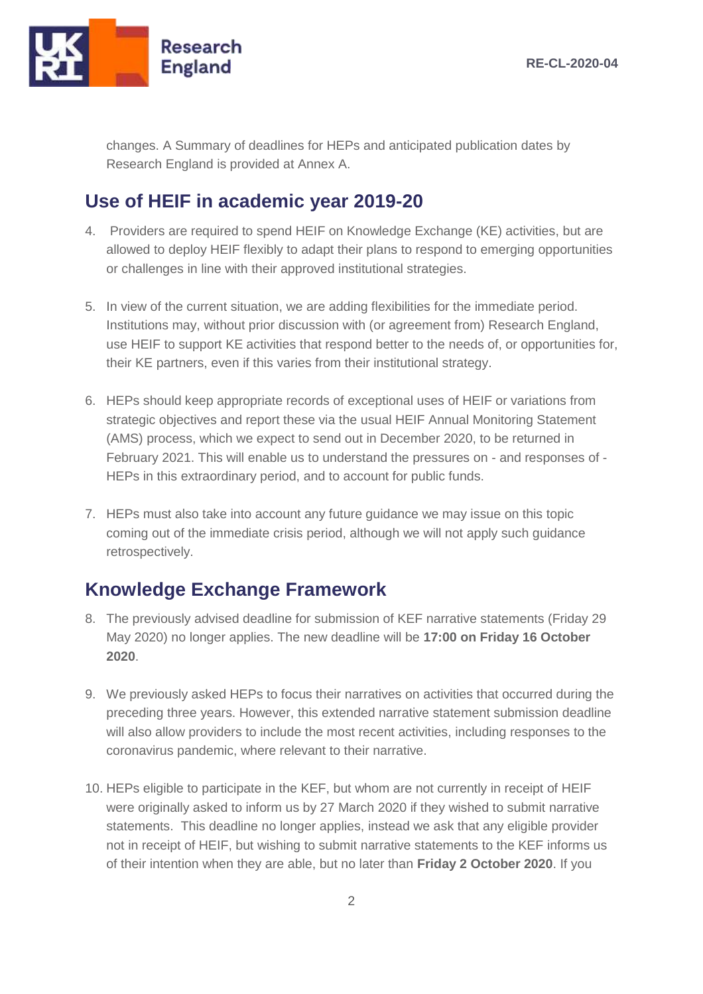

changes. A Summary of deadlines for HEPs and anticipated publication dates by Research England is provided at Annex A.

### **Use of HEIF in academic year 2019-20**

- 4. Providers are required to spend HEIF on Knowledge Exchange (KE) activities, but are allowed to deploy HEIF flexibly to adapt their plans to respond to emerging opportunities or challenges in line with their approved institutional strategies.
- 5. In view of the current situation, we are adding flexibilities for the immediate period. Institutions may, without prior discussion with (or agreement from) Research England, use HEIF to support KE activities that respond better to the needs of, or opportunities for, their KE partners, even if this varies from their institutional strategy.
- 6. HEPs should keep appropriate records of exceptional uses of HEIF or variations from strategic objectives and report these via the usual HEIF Annual Monitoring Statement (AMS) process, which we expect to send out in December 2020, to be returned in February 2021. This will enable us to understand the pressures on - and responses of - HEPs in this extraordinary period, and to account for public funds.
- 7. HEPs must also take into account any future guidance we may issue on this topic coming out of the immediate crisis period, although we will not apply such guidance retrospectively.

#### **Knowledge Exchange Framework**

- 8. The previously advised deadline for submission of KEF narrative statements (Friday 29 May 2020) no longer applies. The new deadline will be **17:00 on Friday 16 October 2020**.
- 9. We previously asked HEPs to focus their narratives on activities that occurred during the preceding three years. However, this extended narrative statement submission deadline will also allow providers to include the most recent activities, including responses to the coronavirus pandemic, where relevant to their narrative.
- 10. HEPs eligible to participate in the KEF, but whom are not currently in receipt of HEIF were originally asked to inform us by 27 March 2020 if they wished to submit narrative statements. This deadline no longer applies, instead we ask that any eligible provider not in receipt of HEIF, but wishing to submit narrative statements to the KEF informs us of their intention when they are able, but no later than **Friday 2 October 2020**. If you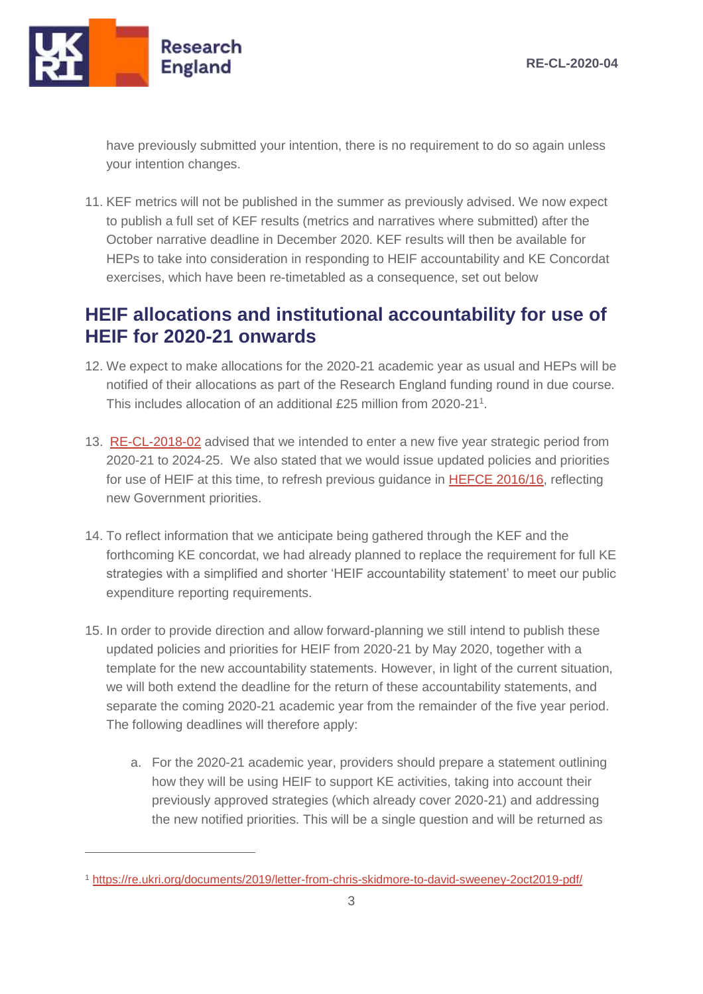

 $\overline{a}$ 

have previously submitted your intention, there is no requirement to do so again unless your intention changes.

11. KEF metrics will not be published in the summer as previously advised. We now expect to publish a full set of KEF results (metrics and narratives where submitted) after the October narrative deadline in December 2020. KEF results will then be available for HEPs to take into consideration in responding to HEIF accountability and KE Concordat exercises, which have been re-timetabled as a consequence, set out below

### **HEIF allocations and institutional accountability for use of HEIF for 2020-21 onwards**

- 12. We expect to make allocations for the 2020-21 academic year as usual and HEPs will be notified of their allocations as part of the Research England funding round in due course. This includes allocation of an additional £25 million from 2020-21<sup>1</sup>.
- 13. [RE-CL-2018-02](https://re.ukri.org/sector-guidance/publications/knowledge-exchange-higher-education-innovation-fund-institutional-strategies-and-plans/) advised that we intended to enter a new five year strategic period from 2020-21 to 2024-25. We also stated that we would issue updated policies and priorities for use of HEIF at this time, to refresh previous guidance in [HEFCE 2016/16,](https://webarchive.nationalarchives.gov.uk/20180405115102/http:/www.hefce.ac.uk/pubs/year/2016/201616/) reflecting new Government priorities.
- 14. To reflect information that we anticipate being gathered through the KEF and the forthcoming KE concordat, we had already planned to replace the requirement for full KE strategies with a simplified and shorter 'HEIF accountability statement' to meet our public expenditure reporting requirements.
- 15. In order to provide direction and allow forward-planning we still intend to publish these updated policies and priorities for HEIF from 2020-21 by May 2020, together with a template for the new accountability statements. However, in light of the current situation, we will both extend the deadline for the return of these accountability statements, and separate the coming 2020-21 academic year from the remainder of the five year period. The following deadlines will therefore apply:
	- a. For the 2020-21 academic year, providers should prepare a statement outlining how they will be using HEIF to support KE activities, taking into account their previously approved strategies (which already cover 2020-21) and addressing the new notified priorities. This will be a single question and will be returned as

<sup>1</sup> <https://re.ukri.org/documents/2019/letter-from-chris-skidmore-to-david-sweeney-2oct2019-pdf/>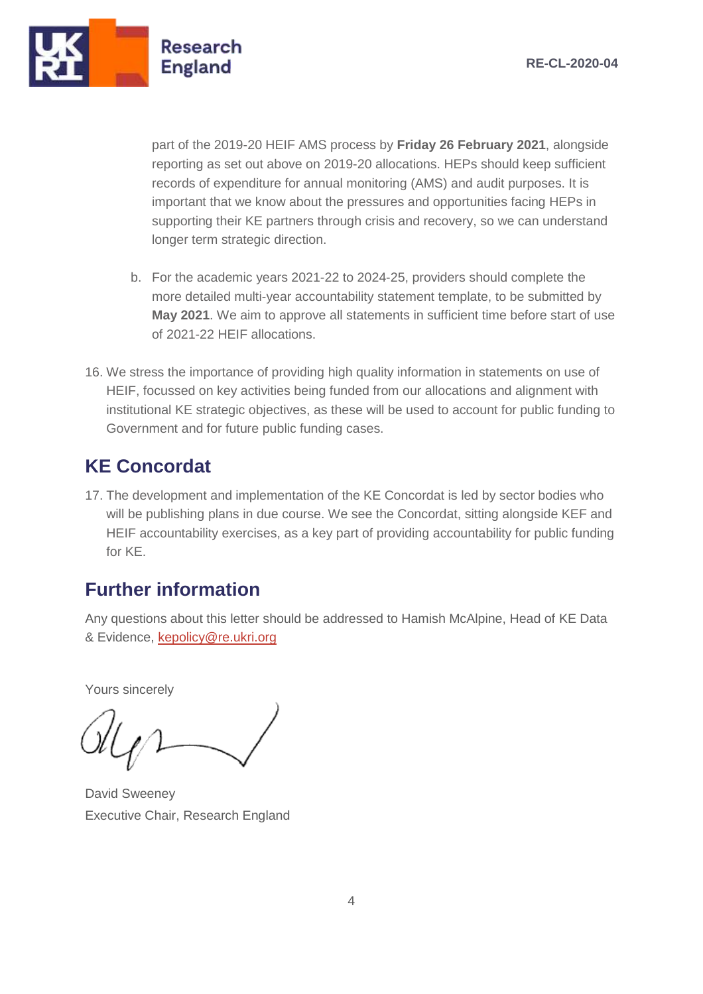

part of the 2019-20 HEIF AMS process by **Friday 26 February 2021**, alongside reporting as set out above on 2019-20 allocations. HEPs should keep sufficient records of expenditure for annual monitoring (AMS) and audit purposes. It is important that we know about the pressures and opportunities facing HEPs in supporting their KE partners through crisis and recovery, so we can understand longer term strategic direction.

- b. For the academic years 2021-22 to 2024-25, providers should complete the more detailed multi-year accountability statement template, to be submitted by **May 2021**. We aim to approve all statements in sufficient time before start of use of 2021-22 HEIF allocations.
- 16. We stress the importance of providing high quality information in statements on use of HEIF, focussed on key activities being funded from our allocations and alignment with institutional KE strategic objectives, as these will be used to account for public funding to Government and for future public funding cases.

#### **KE Concordat**

17. The development and implementation of the KE Concordat is led by sector bodies who will be publishing plans in due course. We see the Concordat, sitting alongside KEF and HEIF accountability exercises, as a key part of providing accountability for public funding for KE.

### **Further information**

Any questions about this letter should be addressed to Hamish McAlpine, Head of KE Data & Evidence, [kepolicy@re.ukri.org](mailto:kepolicy@re.ukri.org)

Yours sincerely

David Sweeney Executive Chair, Research England